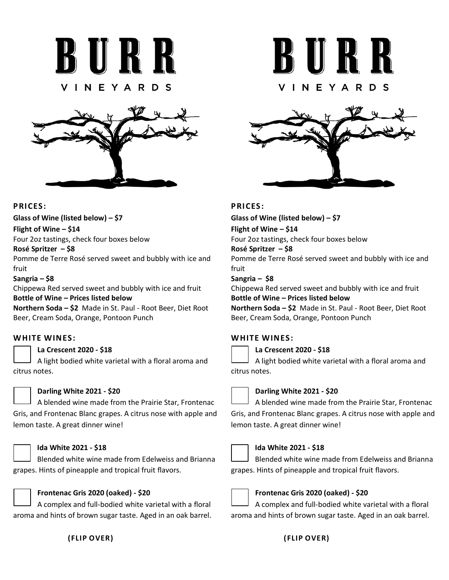



## **PRICES:**

**Glass of Wine (listed below) – \$7**

#### **Flight of Wine – \$14**

Four 2oz tastings, check four boxes below

#### **Rosé Spritzer – \$8**

Pomme de Terre Rosé served sweet and bubbly with ice and fruit

#### **Sangria – \$8**

Chippewa Red served sweet and bubbly with ice and fruit **Bottle of Wine – Prices listed below**

**Northern Soda – \$2** Made in St. Paul - Root Beer, Diet Root Beer, Cream Soda, Orange, Pontoon Punch

## **WHITE WINES:**

### **La Crescent 2020 - \$18**

A light bodied white varietal with a floral aroma and citrus notes.



### **Darling White 2021 - \$20**

A blended wine made from the Prairie Star, Frontenac Gris, and Frontenac Blanc grapes. A citrus nose with apple and lemon taste. A great dinner wine!



### **Ida White 2021 - \$18**

Blended white wine made from Edelweiss and Brianna grapes. Hints of pineapple and tropical fruit flavors.



## **Frontenac Gris 2020 (oaked) - \$20**

A complex and full-bodied white varietal with a floral aroma and hints of brown sugar taste. Aged in an oak barrel.

## **(FLIP OVER)**